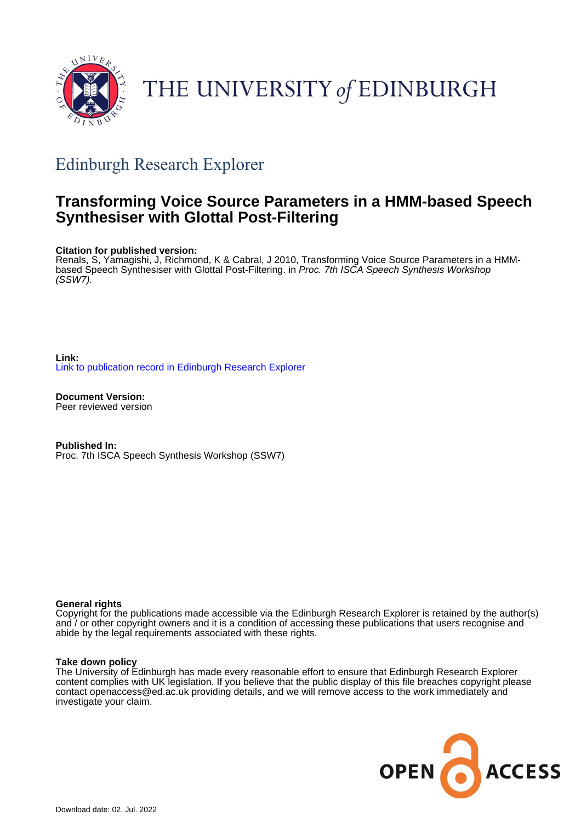

# THE UNIVERSITY of EDINBURGH

## Edinburgh Research Explorer

## **Transforming Voice Source Parameters in a HMM-based Speech Synthesiser with Glottal Post-Filtering**

## **Citation for published version:**

Renals, S, Yamagishi, J, Richmond, K & Cabral, J 2010, Transforming Voice Source Parameters in a HMMbased Speech Synthesiser with Glottal Post-Filtering. in Proc. 7th ISCA Speech Synthesis Workshop (SSW7).

**Link:** [Link to publication record in Edinburgh Research Explorer](https://www.research.ed.ac.uk/en/publications/6aca8682-79be-45fe-a676-391041a7c3f6)

**Document Version:** Peer reviewed version

**Published In:** Proc. 7th ISCA Speech Synthesis Workshop (SSW7)

## **General rights**

Copyright for the publications made accessible via the Edinburgh Research Explorer is retained by the author(s) and / or other copyright owners and it is a condition of accessing these publications that users recognise and abide by the legal requirements associated with these rights.

## **Take down policy**

The University of Edinburgh has made every reasonable effort to ensure that Edinburgh Research Explorer content complies with UK legislation. If you believe that the public display of this file breaches copyright please contact openaccess@ed.ac.uk providing details, and we will remove access to the work immediately and investigate your claim.

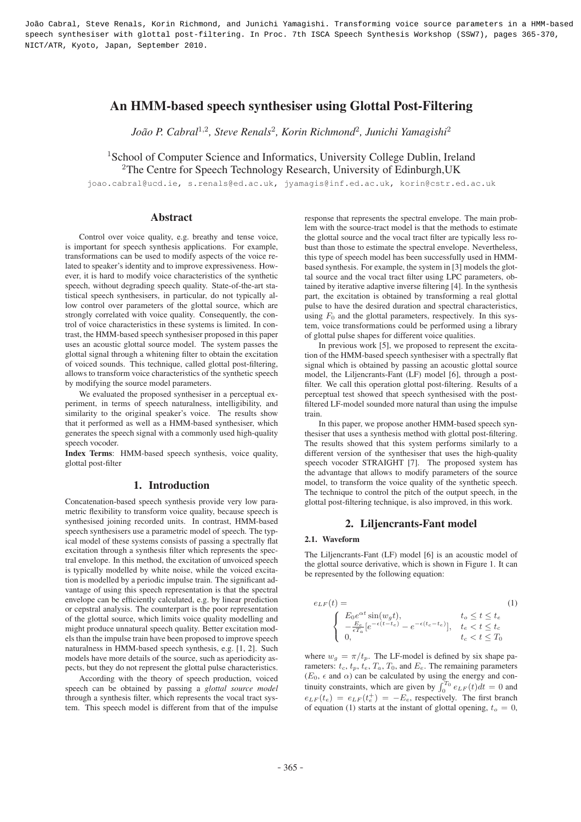João Cabral, Steve Renals, Korin Richmond, and Junichi Yamagishi. Transforming voice source parameters in a HMM-based speech synthesiser with glottal post-filtering. In Proc. 7th ISCA Speech Synthesis Workshop (SSW7), pages 365-370, NICT/ATR, Kyoto, Japan, September 2010.

## An HMM-based speech synthesiser using Glottal Post-Filtering

*Joao P. Cabral ˜* <sup>1</sup>,<sup>2</sup>*, Steve Renals*<sup>2</sup>*, Korin Richmond*<sup>2</sup>*, Junichi Yamagishi*<sup>2</sup>

<sup>1</sup>School of Computer Science and Informatics, University College Dublin, Ireland <sup>2</sup>The Centre for Speech Technology Research, University of Edinburgh, UK

joao.cabral@ucd.ie, s.renals@ed.ac.uk, jyamagis@inf.ed.ac.uk, korin@cstr.ed.ac.uk

## Abstract

Control over voice quality, e.g. breathy and tense voice, is important for speech synthesis applications. For example, transformations can be used to modify aspects of the voice related to speaker's identity and to improve expressiveness. However, it is hard to modify voice characteristics of the synthetic speech, without degrading speech quality. State-of-the-art statistical speech synthesisers, in particular, do not typically allow control over parameters of the glottal source, which are strongly correlated with voice quality. Consequently, the control of voice characteristics in these systems is limited. In contrast, the HMM-based speech synthesiser proposed in this paper uses an acoustic glottal source model. The system passes the glottal signal through a whitening filter to obtain the excitation of voiced sounds. This technique, called glottal post-filtering, allows to transform voice characteristics of the synthetic speech by modifying the source model parameters.

We evaluated the proposed synthesiser in a perceptual experiment, in terms of speech naturalness, intelligibility, and similarity to the original speaker's voice. The results show that it performed as well as a HMM-based synthesiser, which generates the speech signal with a commonly used high-quality speech vocoder.

Index Terms: HMM-based speech synthesis, voice quality, glottal post-filter

## 1. Introduction

Concatenation-based speech synthesis provide very low parametric flexibility to transform voice quality, because speech is synthesised joining recorded units. In contrast, HMM-based speech synthesisers use a parametric model of speech. The typical model of these systems consists of passing a spectrally flat excitation through a synthesis filter which represents the spectral envelope. In this method, the excitation of unvoiced speech is typically modelled by white noise, while the voiced excitation is modelled by a periodic impulse train. The significant advantage of using this speech representation is that the spectral envelope can be efficiently calculated, e.g. by linear prediction or cepstral analysis. The counterpart is the poor representation of the glottal source, which limits voice quality modelling and might produce unnatural speech quality. Better excitation models than the impulse train have been proposed to improve speech naturalness in HMM-based speech synthesis, e.g. [1, 2]. Such models have more details of the source, such as aperiodicity aspects, but they do not represent the glottal pulse characteristics.

According with the theory of speech production, voiced speech can be obtained by passing a *glottal source model* through a synthesis filter, which represents the vocal tract system. This speech model is different from that of the impulse response that represents the spectral envelope. The main problem with the source-tract model is that the methods to estimate the glottal source and the vocal tract filter are typically less robust than those to estimate the spectral envelope. Nevertheless, this type of speech model has been successfully used in HMMbased synthesis. For example, the system in [3] models the glottal source and the vocal tract filter using LPC parameters, obtained by iterative adaptive inverse filtering [4]. In the synthesis part, the excitation is obtained by transforming a real glottal pulse to have the desired duration and spectral characteristics, using  $F_0$  and the glottal parameters, respectively. In this system, voice transformations could be performed using a library of glottal pulse shapes for different voice qualities.

In previous work [5], we proposed to represent the excitation of the HMM-based speech synthesiser with a spectrally flat signal which is obtained by passing an acoustic glottal source model, the Liljencrants-Fant (LF) model [6], through a postfilter. We call this operation glottal post-filtering. Results of a perceptual test showed that speech synthesised with the postfiltered LF-model sounded more natural than using the impulse train.

In this paper, we propose another HMM-based speech synthesiser that uses a synthesis method with glottal post-filtering. The results showed that this system performs similarly to a different version of the synthesiser that uses the high-quality speech vocoder STRAIGHT [7]. The proposed system has the advantage that allows to modify parameters of the source model, to transform the voice quality of the synthetic speech. The technique to control the pitch of the output speech, in the glottal post-filtering technique, is also improved, in this work.

## 2. Liljencrants-Fant model

## 2.1. Waveform

The Liliencrants-Fant (LF) model [6] is an acoustic model of the glottal source derivative, which is shown in Figure 1. It can be represented by the following equation:

$$
e_{LF}(t) = \n\begin{cases}\nE_0 e^{\alpha t} \sin(w_g t), & t_o \le t \le t_e \\
-\frac{E_e}{\epsilon T_a} [e^{-\epsilon(t - t_e)} - e^{-\epsilon(t_c - t_e)}], & t_e < t \le t_c \\
0, & t_c < t \le T_0\n\end{cases}
$$
\n<sup>(1)</sup>

where  $w_g = \pi/t_p$ . The LF-model is defined by six shape parameters:  $t_c$ ,  $t_p$ ,  $t_e$ ,  $T_a$ ,  $T_0$ , and  $E_e$ . The remaining parameters  $(E_0, \epsilon \text{ and } \alpha)$  can be calculated by using the energy and continuity constraints, which are given by  $\int_0^{T_0} e_{LF}(t)dt = 0$  and  $e_{LF}(t_e) = e_{LF}(t_e^+) = -E_e$ , respectively. The first branch of equation (1) starts at the instant of glottal opening,  $t_o = 0$ ,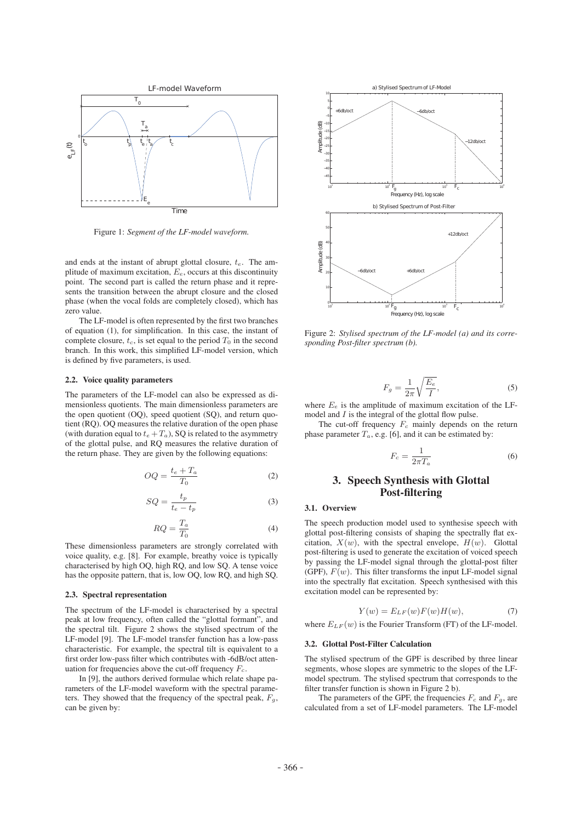

Figure 1: *Segment of the LF-model waveform.*

and ends at the instant of abrupt glottal closure,  $t_e$ . The amplitude of maximum excitation,  $E_e$ , occurs at this discontinuity point. The second part is called the return phase and it represents the transition between the abrupt closure and the closed phase (when the vocal folds are completely closed), which has zero value.

The LF-model is often represented by the first two branches of equation (1), for simplification. In this case, the instant of complete closure,  $t_c$ , is set equal to the period  $T_0$  in the second branch. In this work, this simplified LF-model version, which is defined by five parameters, is used.

#### 2.2. Voice quality parameters

The parameters of the LF-model can also be expressed as dimensionless quotients. The main dimensionless parameters are the open quotient (OQ), speed quotient (SQ), and return quotient (RQ). OQ measures the relative duration of the open phase (with duration equal to  $t_e + T_a$ ), SQ is related to the asymmetry of the glottal pulse, and RQ measures the relative duration of the return phase. They are given by the following equations:

$$
OQ = \frac{t_e + T_a}{T_0} \tag{2}
$$

$$
SQ = \frac{t_p}{t_e - t_p} \tag{3}
$$

$$
RQ = \frac{T_a}{T_0} \tag{4}
$$

These dimensionless parameters are strongly correlated with voice quality, e.g. [8]. For example, breathy voice is typically characterised by high OQ, high RQ, and low SQ. A tense voice has the opposite pattern, that is, low OQ, low RQ, and high SQ.

## 2.3. Spectral representation

The spectrum of the LF-model is characterised by a spectral peak at low frequency, often called the "glottal formant", and the spectral tilt. Figure 2 shows the stylised spectrum of the LF-model [9]. The LF-model transfer function has a low-pass characteristic. For example, the spectral tilt is equivalent to a first order low-pass filter which contributes with -6dB/oct attenuation for frequencies above the cut-off frequency  $F_c$ .

In [9], the authors derived formulae which relate shape parameters of the LF-model waveform with the spectral parameters. They showed that the frequency of the spectral peak,  $F_q$ , can be given by:



Figure 2: *Stylised spectrum of the LF-model (a) and its corresponding Post-filter spectrum (b).*

$$
F_g = \frac{1}{2\pi} \sqrt{\frac{E_e}{I}},\tag{5}
$$

where  $E_e$  is the amplitude of maximum excitation of the LFmodel and  $I$  is the integral of the glottal flow pulse.

The cut-off frequency  $F_c$  mainly depends on the return phase parameter  $T_a$ , e.g. [6], and it can be estimated by:

$$
F_c = \frac{1}{2\pi T_a} \tag{6}
$$

## 3. Speech Synthesis with Glottal Post-filtering

## 3.1. Overview

The speech production model used to synthesise speech with glottal post-filtering consists of shaping the spectrally flat excitation,  $X(w)$ , with the spectral envelope,  $H(w)$ . Glottal post-filtering is used to generate the excitation of voiced speech by passing the LF-model signal through the glottal-post filter (GPF),  $F(w)$ . This filter transforms the input LF-model signal into the spectrally flat excitation. Speech synthesised with this excitation model can be represented by:

$$
Y(w) = E_{LF}(w)F(w)H(w), \tag{7}
$$

where  $E_{LF}(w)$  is the Fourier Transform (FT) of the LF-model.

## 3.2. Glottal Post-Filter Calculation

The stylised spectrum of the GPF is described by three linear segments, whose slopes are symmetric to the slopes of the LFmodel spectrum. The stylised spectrum that corresponds to the filter transfer function is shown in Figure 2 b).

The parameters of the GPF, the frequencies  $F_c$  and  $F_a$ , are calculated from a set of LF-model parameters. The LF-model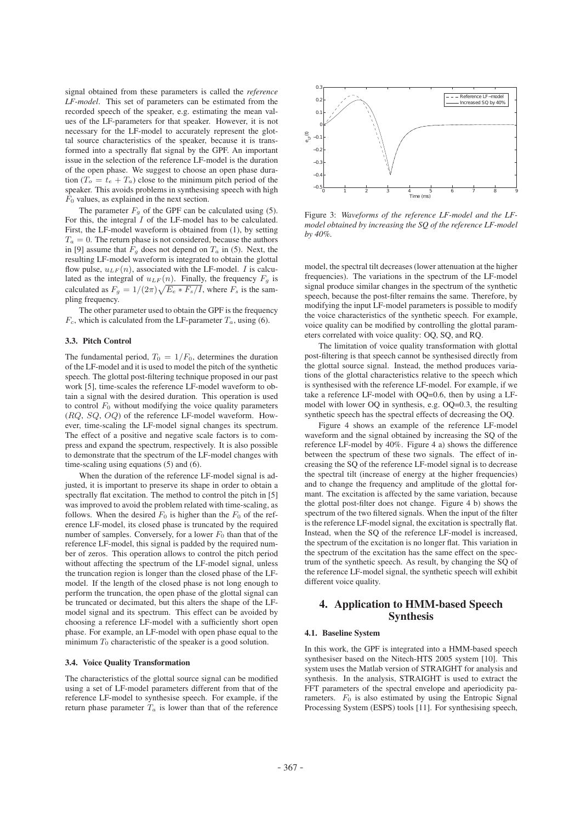signal obtained from these parameters is called the *reference LF-model*. This set of parameters can be estimated from the recorded speech of the speaker, e.g. estimating the mean values of the LF-parameters for that speaker. However, it is not necessary for the LF-model to accurately represent the glottal source characteristics of the speaker, because it is transformed into a spectrally flat signal by the GPF. An important issue in the selection of the reference LF-model is the duration of the open phase. We suggest to choose an open phase duration  $(T_o = t_e + T_a)$  close to the minimum pitch period of the speaker. This avoids problems in synthesising speech with high  $F_0$  values, as explained in the next section.

The parameter  $F_a$  of the GPF can be calculated using (5). For this, the integral  $I$  of the LF-model has to be calculated. First, the LF-model waveform is obtained from (1), by setting  $T_a = 0$ . The return phase is not considered, because the authors in [9] assume that  $F_q$  does not depend on  $T_a$  in (5). Next, the resulting LF-model waveform is integrated to obtain the glottal flow pulse,  $u_{LF}(n)$ , associated with the LF-model. I is calculated as the integral of  $u_{LF}(n)$ . Finally, the frequency  $F_g$  is calculated as  $F_g = 1/(2\pi)\sqrt{E_e * F_s/I}$ , where  $F_s$  is the sampling frequency.

The other parameter used to obtain the GPF is the frequency  $F_c$ , which is calculated from the LF-parameter  $T_a$ , using (6).

#### 3.3. Pitch Control

The fundamental period,  $T_0 = 1/F_0$ , determines the duration of the LF-model and it is used to model the pitch of the synthetic speech. The glottal post-filtering technique proposed in our past work [5], time-scales the reference LF-model waveform to obtain a signal with the desired duration. This operation is used to control  $F_0$  without modifying the voice quality parameters (RQ, SQ, OQ) of the reference LF-model waveform. However, time-scaling the LF-model signal changes its spectrum. The effect of a positive and negative scale factors is to compress and expand the spectrum, respectively. It is also possible to demonstrate that the spectrum of the LF-model changes with time-scaling using equations (5) and (6).

When the duration of the reference LF-model signal is adjusted, it is important to preserve its shape in order to obtain a spectrally flat excitation. The method to control the pitch in [5] was improved to avoid the problem related with time-scaling, as follows. When the desired  $F_0$  is higher than the  $F_0$  of the reference LF-model, its closed phase is truncated by the required number of samples. Conversely, for a lower  $F_0$  than that of the reference LF-model, this signal is padded by the required number of zeros. This operation allows to control the pitch period without affecting the spectrum of the LF-model signal, unless the truncation region is longer than the closed phase of the LFmodel. If the length of the closed phase is not long enough to perform the truncation, the open phase of the glottal signal can be truncated or decimated, but this alters the shape of the LFmodel signal and its spectrum. This effect can be avoided by choosing a reference LF-model with a sufficiently short open phase. For example, an LF-model with open phase equal to the minimum  $T_0$  characteristic of the speaker is a good solution.

#### 3.4. Voice Quality Transformation

The characteristics of the glottal source signal can be modified using a set of LF-model parameters different from that of the reference LF-model to synthesise speech. For example, if the return phase parameter  $T_a$  is lower than that of the reference



Figure 3: *Waveforms of the reference LF-model and the LFmodel obtained by increasing the SQ of the reference LF-model by 40%.*

model, the spectral tilt decreases (lower attenuation at the higher frequencies). The variations in the spectrum of the LF-model signal produce similar changes in the spectrum of the synthetic speech, because the post-filter remains the same. Therefore, by modifying the input LF-model parameters is possible to modify the voice characteristics of the synthetic speech. For example, voice quality can be modified by controlling the glottal parameters correlated with voice quality: OQ, SQ, and RQ.

The limitation of voice quality transformation with glottal post-filtering is that speech cannot be synthesised directly from the glottal source signal. Instead, the method produces variations of the glottal characteristics relative to the speech which is synthesised with the reference LF-model. For example, if we take a reference LF-model with OQ=0.6, then by using a LFmodel with lower OQ in synthesis, e.g. OQ=0.3, the resulting synthetic speech has the spectral effects of decreasing the OQ.

Figure 4 shows an example of the reference LF-model waveform and the signal obtained by increasing the SQ of the reference LF-model by 40%. Figure 4 a) shows the difference between the spectrum of these two signals. The effect of increasing the SQ of the reference LF-model signal is to decrease the spectral tilt (increase of energy at the higher frequencies) and to change the frequency and amplitude of the glottal formant. The excitation is affected by the same variation, because the glottal post-filter does not change. Figure 4 b) shows the spectrum of the two filtered signals. When the input of the filter is the reference LF-model signal, the excitation is spectrally flat. Instead, when the SQ of the reference LF-model is increased, the spectrum of the excitation is no longer flat. This variation in the spectrum of the excitation has the same effect on the spectrum of the synthetic speech. As result, by changing the SQ of the reference LF-model signal, the synthetic speech will exhibit different voice quality.

## 4. Application to HMM-based Speech Synthesis

#### 4.1. Baseline System

In this work, the GPF is integrated into a HMM-based speech synthesiser based on the Nitech-HTS 2005 system [10]. This system uses the Matlab version of STRAIGHT for analysis and synthesis. In the analysis, STRAIGHT is used to extract the FFT parameters of the spectral envelope and aperiodicity parameters.  $F_0$  is also estimated by using the Entropic Signal Processing System (ESPS) tools [11]. For synthesising speech,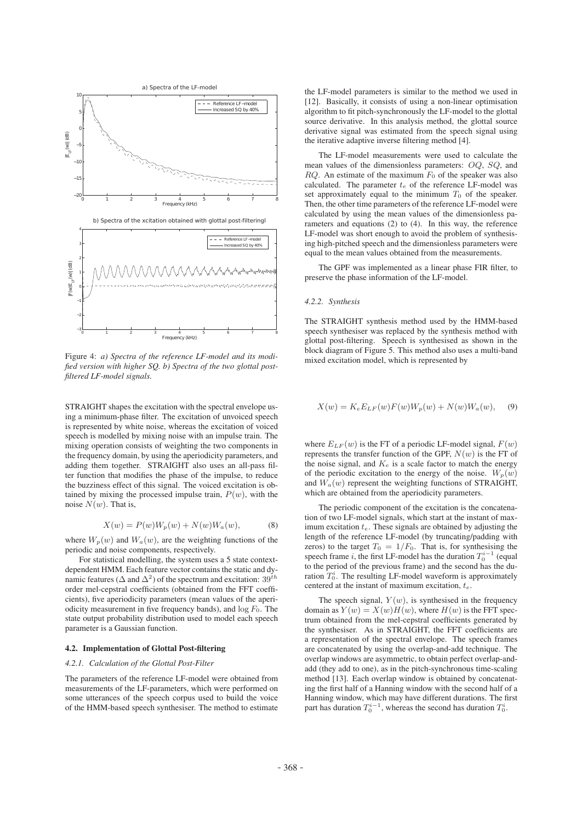

Figure 4: *a) Spectra of the reference LF-model and its modified version with higher SQ. b) Spectra of the two glottal postfiltered LF-model signals.*

STRAIGHT shapes the excitation with the spectral envelope using a minimum-phase filter. The excitation of unvoiced speech is represented by white noise, whereas the excitation of voiced speech is modelled by mixing noise with an impulse train. The mixing operation consists of weighting the two components in the frequency domain, by using the aperiodicity parameters, and adding them together. STRAIGHT also uses an all-pass filter function that modifies the phase of the impulse, to reduce the buzziness effect of this signal. The voiced excitation is obtained by mixing the processed impulse train,  $P(w)$ , with the noise  $N(w)$ . That is,

$$
X(w) = P(w)W_p(w) + N(w)W_a(w), \t\t(8)
$$

where  $W_p(w)$  and  $W_a(w)$ , are the weighting functions of the periodic and noise components, respectively.

For statistical modelling, the system uses a 5 state contextdependent HMM. Each feature vector contains the static and dynamic features ( $\Delta$  and  $\Delta^2$ ) of the spectrum and excitation: 39<sup>th</sup> order mel-cepstral coefficients (obtained from the FFT coefficients), five aperiodicity parameters (mean values of the aperiodicity measurement in five frequency bands), and  $log F_0$ . The state output probability distribution used to model each speech parameter is a Gaussian function.

#### 4.2. Implementation of Glottal Post-filtering

### *4.2.1. Calculation of the Glottal Post-Filter*

The parameters of the reference LF-model were obtained from measurements of the LF-parameters, which were performed on some utterances of the speech corpus used to build the voice of the HMM-based speech synthesiser. The method to estimate the LF-model parameters is similar to the method we used in [12]. Basically, it consists of using a non-linear optimisation algorithm to fit pitch-synchronously the LF-model to the glottal source derivative. In this analysis method, the glottal source derivative signal was estimated from the speech signal using the iterative adaptive inverse filtering method [4].

The LF-model measurements were used to calculate the mean values of the dimensionless parameters: OQ, SQ, and  $RQ$ . An estimate of the maximum  $F_0$  of the speaker was also calculated. The parameter  $t_e$  of the reference LF-model was set approximately equal to the minimum  $T_0$  of the speaker. Then, the other time parameters of the reference LF-model were calculated by using the mean values of the dimensionless parameters and equations (2) to (4). In this way, the reference LF-model was short enough to avoid the problem of synthesising high-pitched speech and the dimensionless parameters were equal to the mean values obtained from the measurements.

The GPF was implemented as a linear phase FIR filter, to preserve the phase information of the LF-model.

#### *4.2.2. Synthesis*

The STRAIGHT synthesis method used by the HMM-based speech synthesiser was replaced by the synthesis method with glottal post-filtering. Speech is synthesised as shown in the block diagram of Figure 5. This method also uses a multi-band mixed excitation model, which is represented by

$$
X(w) = K_e E_{LF}(w) F(w) W_p(w) + N(w) W_a(w), \quad (9)
$$

where  $E_{LF}(w)$  is the FT of a periodic LF-model signal,  $F(w)$ represents the transfer function of the GPF,  $N(w)$  is the FT of the noise signal, and  $K_e$  is a scale factor to match the energy of the periodic excitation to the energy of the noise.  $W_p(w)$ and  $W_a(w)$  represent the weighting functions of STRAIGHT, which are obtained from the aperiodicity parameters.

The periodic component of the excitation is the concatenation of two LF-model signals, which start at the instant of maximum excitation  $t_e$ . These signals are obtained by adjusting the length of the reference LF-model (by truncating/padding with zeros) to the target  $T_0 = 1/F_0$ . That is, for synthesising the speech frame *i*, the first LF-model has the duration  $T_0^{i-1}$  (equal to the period of the previous frame) and the second has the duration  $T_0^i$ . The resulting LF-model waveform is approximately centered at the instant of maximum excitation,  $t_e$ .

The speech signal,  $Y(w)$ , is synthesised in the frequency domain as  $Y(w) = X(w)H(w)$ , where  $H(w)$  is the FFT spectrum obtained from the mel-cepstral coefficients generated by the synthesiser. As in STRAIGHT, the FFT coefficients are a representation of the spectral envelope. The speech frames are concatenated by using the overlap-and-add technique. The overlap windows are asymmetric, to obtain perfect overlap-andadd (they add to one), as in the pitch-synchronous time-scaling method [13]. Each overlap window is obtained by concatenating the first half of a Hanning window with the second half of a Hanning window, which may have different durations. The first part has duration  $T_0^{i-1}$ , whereas the second has duration  $T_0^i$ .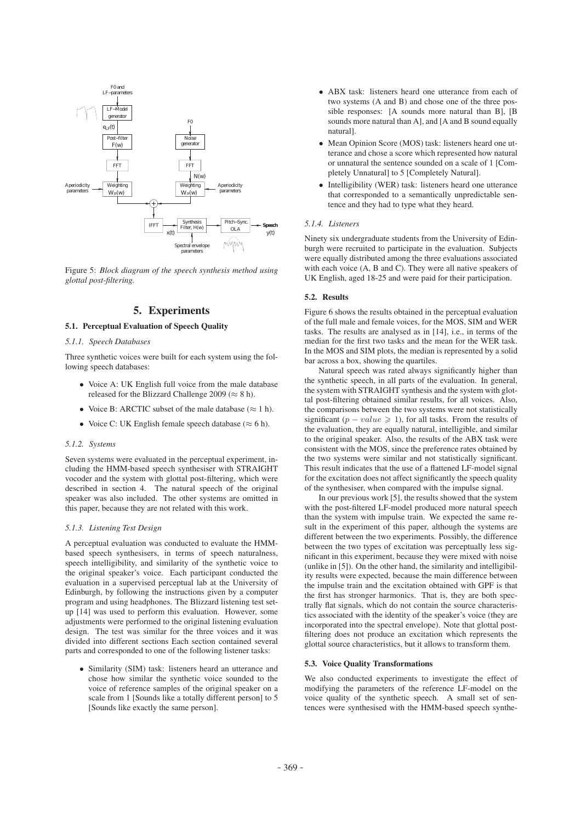

Figure 5: *Block diagram of the speech synthesis method using glottal post-filtering.*

## 5. Experiments

## 5.1. Perceptual Evaluation of Speech Quality

#### *5.1.1. Speech Databases*

Three synthetic voices were built for each system using the following speech databases:

- Voice A: UK English full voice from the male database released for the Blizzard Challenge 2009 ( $\approx 8$  h).
- Voice B: ARCTIC subset of the male database ( $\approx 1$  h).
- Voice C: UK English female speech database ( $\approx$  6 h).

## *5.1.2. Systems*

Seven systems were evaluated in the perceptual experiment, including the HMM-based speech synthesiser with STRAIGHT vocoder and the system with glottal post-filtering, which were described in section 4. The natural speech of the original speaker was also included. The other systems are omitted in this paper, because they are not related with this work.

## *5.1.3. Listening Test Design*

A perceptual evaluation was conducted to evaluate the HMMbased speech synthesisers, in terms of speech naturalness, speech intelligibility, and similarity of the synthetic voice to the original speaker's voice. Each participant conducted the evaluation in a supervised perceptual lab at the University of Edinburgh, by following the instructions given by a computer program and using headphones. The Blizzard listening test setup [14] was used to perform this evaluation. However, some adjustments were performed to the original listening evaluation design. The test was similar for the three voices and it was divided into different sections Each section contained several parts and corresponded to one of the following listener tasks:

• Similarity (SIM) task: listeners heard an utterance and chose how similar the synthetic voice sounded to the voice of reference samples of the original speaker on a scale from 1 [Sounds like a totally different person] to 5 [Sounds like exactly the same person].

- ABX task: listeners heard one utterance from each of two systems (A and B) and chose one of the three possible responses: [A sounds more natural than B], [B sounds more natural than A], and [A and B sound equally natural].
- Mean Opinion Score (MOS) task: listeners heard one utterance and chose a score which represented how natural or unnatural the sentence sounded on a scale of 1 [Completely Unnatural] to 5 [Completely Natural].
- Intelligibility (WER) task: listeners heard one utterance that corresponded to a semantically unpredictable sentence and they had to type what they heard.

#### *5.1.4. Listeners*

Ninety six undergraduate students from the University of Edinburgh were recruited to participate in the evaluation. Subjects were equally distributed among the three evaluations associated with each voice (A, B and C). They were all native speakers of UK English, aged 18-25 and were paid for their participation.

#### 5.2. Results

Figure 6 shows the results obtained in the perceptual evaluation of the full male and female voices, for the MOS, SIM and WER tasks. The results are analysed as in [14], i.e., in terms of the median for the first two tasks and the mean for the WER task. In the MOS and SIM plots, the median is represented by a solid bar across a box, showing the quartiles.

Natural speech was rated always significantly higher than the synthetic speech, in all parts of the evaluation. In general, the system with STRAIGHT synthesis and the system with glottal post-filtering obtained similar results, for all voices. Also, the comparisons between the two systems were not statistically significant ( $p-value \ge 1$ ), for all tasks. From the results of the evaluation, they are equally natural, intelligible, and similar to the original speaker. Also, the results of the ABX task were consistent with the MOS, since the preference rates obtained by the two systems were similar and not statistically significant. This result indicates that the use of a flattened LF-model signal for the excitation does not affect significantly the speech quality of the synthesiser, when compared with the impulse signal.

In our previous work [5], the results showed that the system with the post-filtered LF-model produced more natural speech than the system with impulse train. We expected the same result in the experiment of this paper, although the systems are different between the two experiments. Possibly, the difference between the two types of excitation was perceptually less significant in this experiment, because they were mixed with noise (unlike in [5]). On the other hand, the similarity and intelligibility results were expected, because the main difference between the impulse train and the excitation obtained with GPF is that the first has stronger harmonics. That is, they are both spectrally flat signals, which do not contain the source characteristics associated with the identity of the speaker's voice (they are incorporated into the spectral envelope). Note that glottal postfiltering does not produce an excitation which represents the glottal source characteristics, but it allows to transform them.

#### 5.3. Voice Quality Transformations

We also conducted experiments to investigate the effect of modifying the parameters of the reference LF-model on the voice quality of the synthetic speech. A small set of sentences were synthesised with the HMM-based speech synthe-